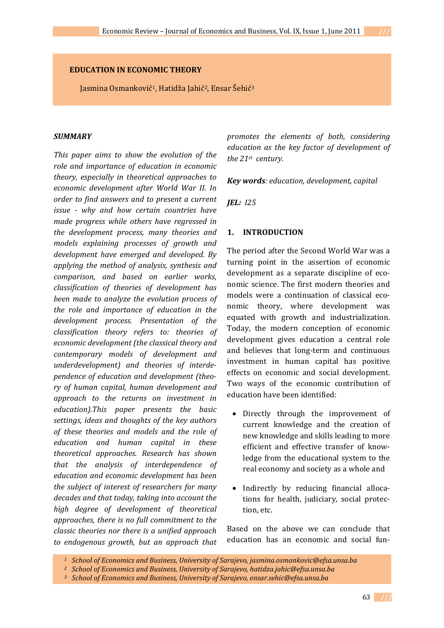### **EDUCATION IN ECONOMIC THEORY**

Jasmina Osmanković<sup>1</sup>, Hatidža Jahić<sup>2</sup>, Ensar Šehić<sup>3</sup>

### *SUMMARY*

*This paper aims to show the evolution of the role and importance of education in economic theory, especially in theoretical approaches to economic development after World War II. In order to find answers and to present a current issue why and how certain countries have made progress while others have regressed in the development process, many theories and models explaining processes of growth and development have emerged and developed. By applying the method of analysis, synthesis and comparison, and based on earlier works, classification of theories of development has been made to analyze the evolution process of the role and importance of education in the development process. Presentation of the classification theory refers to: theories of economic development (the classical theory and contemporary models of development and underdevelopment) and theories of interdependence of education and development (theory of human capital, human development and approach to the returns on investment in education).This paper presents the basic settings, ideas and thoughts of the key authors of these theories and models and the role of education and human capital in these theoretical approaches. Research has shown that the analysis of interdependence of education and economic development has been the subject of interest of researchers for many decades and that today, taking into account the high degree of development of theoretical approaches, there is no full commitment to the classic theories nor there is a unified approach to endogenous growth, but an approach that*

*promotes the elements of both, considering education as the key factor of development of the 21st century.*

*Key words: education, development, capital* 

*JEL: I25*

#### **1. INTRODUCTION**

The period after the Second World War was a turning point in the assertion of economic development as a separate discipline of economic science. The first modern theories and models were a continuation of classical economic theory, where development was equated with growth and industrialization. Today, the modern conception of economic development gives education a central role and believes that long‐term and continuous investment in human capital has positive effects on economic and social development. Two ways of the economic contribution of education have been identified:

- Directly through the improvement of current knowledge and the creation of new knowledge and skills leading to more efficient and effective transfer of know‐ ledge from the educational system to the real economy and society as a whole and
- Indirectly by reducing financial allocations for health, judiciary, social protec‐ tion, etc.

Based on the above we can conclude that education has an economic and social fun‐

*<sup>1</sup> School of Economics and Business, University of Sarajevo, jasmina.osmankovic@efsa.unsa.ba*

*<sup>2</sup> School of Economics and Business, University of Sarajevo, hatidza.jahic@efsa.unsa.ba*

*<sup>3</sup> School of Economics and Business, University of Sarajevo, ensar.sehic@efsa.unsa.ba*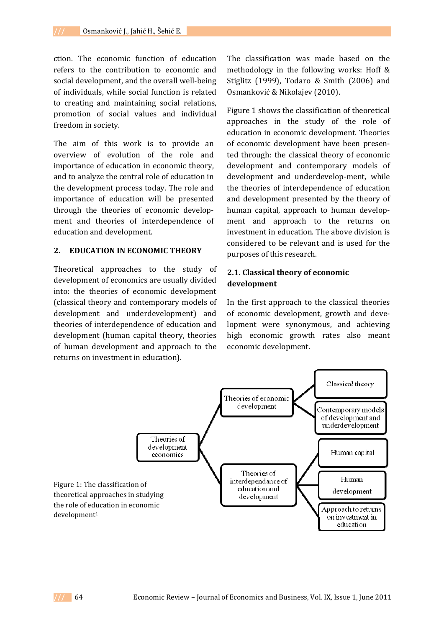ction. The economic function of education refers to the contribution to economic and social development, and the overall well-being of individuals, while social function is related to creating and maintaining social relations, promotion of social values and individual freedom in society.

The aim of this work is to provide an overview of evolution of the role and importance of education in economic theory, and to analyze the central role of education in the development process today. The role and importance of education will be presented through the theories of economic develop‐ ment and theories of interdependence of education and development.

## **2. EDUCATION IN ECONOMIC THEORY**

Theoretical approaches to the study of development of economics are usually divided into: the theories of economic development (classical theory and contemporary models of development and underdevelopment) and theories of interdependence of education and development (human capital theory, theories of human development and approach to the returns on investment in education).

The classification was made based on the methodology in the following works: Hoff & Stiglitz (1999), Todaro & Smith (2006) and Osmanković & Nikolajev (2010).

Figure 1 shows the classification of theoretical approaches in the study of the role of education in economic development. Theories of economic development have been presen‐ ted through: the classical theory of economic development and contemporary models of development and underdevelop‐ment, while the theories of interdependence of education and development presented by the theory of human capital, approach to human development and approach to the returns on investment in education. The above division is considered to be relevant and is used for the purposes of this research.

## **2.1. Classical theory of economic development**

In the first approach to the classical theories of economic development, growth and deve‐ lopment were synonymous, and achieving high economic growth rates also meant economic development.

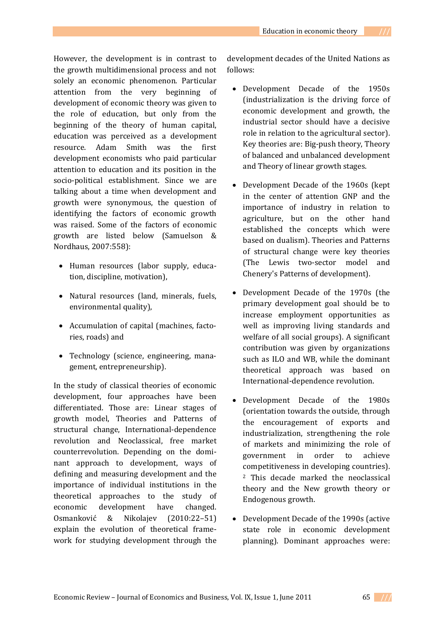However, the development is in contrast to the growth multidimensional process and not solely an economic phenomenon. Particular attention from the very beginning of development of economic theory was given to the role of education, but only from the beginning of the theory of human capital, education was perceived as a development resource. Adam Smith was the first development economists who paid particular attention to education and its position in the socio‐political establishment. Since we are talking about a time when development and growth were synonymous, the question of identifying the factors of economic growth was raised. Some of the factors of economic growth are listed below (Samuelson & Nordhaus, 2007:558):

- Human resources (labor supply, educa‐ tion, discipline, motivation),
- Natural resources (land, minerals, fuels, environmental quality),
- Accumulation of capital (machines, factories, roads) and
- Technology (science, engineering, management, entrepreneurship).

In the study of classical theories of economic development, four approaches have been differentiated. Those are: Linear stages of growth model, Theories and Patterns of structural change, International‐dependence revolution and Neoclassical, free market counterrevolution. Depending on the domi‐ nant approach to development, ways of defining and measuring development and the importance of individual institutions in the theoretical approaches to the study of economic development have changed. Osmanković & Nikolajev (2010:22–51) explain the evolution of theoretical frame‐ work for studying development through the

development decades of the United Nations as follows:

- Development Decade of the 1950s (industrialization is the driving force of economic development and growth, the industrial sector should have a decisive role in relation to the agricultural sector). Key theories are: Big‐push theory, Theory of balanced and unbalanced development and Theory of linear growth stages.
- Development Decade of the 1960s (kept in the center of attention GNP and the importance of industry in relation to agriculture, but on the other hand established the concepts which were based on dualism). Theories and Patterns of structural change were key theories (The Lewis two‐sector model and Chenery's Patterns of development).
- Development Decade of the 1970s (the primary development goal should be to increase employment opportunities as well as improving living standards and welfare of all social groups). A significant contribution was given by organizations such as ILO and WB, while the dominant theoretical approach was based on International‐dependence revolution.
- Development Decade of the 1980s (orientation towards the outside, through the encouragement of exports and industrialization, strengthening the role of markets and minimizing the role of government in order to achieve competitiveness in developing countries). 2 This decade marked the neoclassical theory and the New growth theory or Endogenous growth.
- Development Decade of the 1990s (active state role in economic development planning). Dominant approaches were: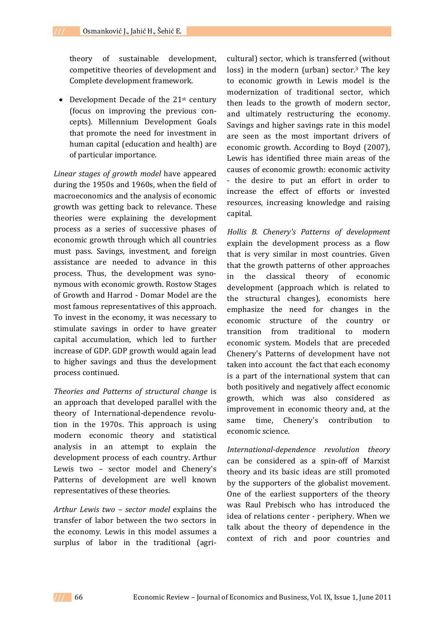theory of sustainable development, competitive theories of development and Complete development framework.

• Development Decade of the  $21<sup>st</sup>$  century (focus on improving the previous con‐ cepts). Millennium Development Goals that promote the need for investment in human capital (education and health) are of particular importance.

*Linear stages of growth model* have appeared during the 1950s and 1960s, when the field of macroeconomics and the analysis of economic growth was getting back to relevance. These theories were explaining the development process as a series of successive phases of economic growth through which all countries must pass. Savings, investment, and foreign assistance are needed to advance in this process. Thus, the development was syno‐ nymous with economic growth. Rostow Stages of Growth and Harrod - Domar Model are the most famous representatives of this approach. To invest in the economy, it was necessary to stimulate savings in order to have greater capital accumulation, which led to further increase of GDP. GDP growth would again lead to higher savings and thus the development process continued.

*Theories and Patterns of structural change* is an approach that developed parallel with the theory of International‐dependence revolu‐ tion in the 1970s. This approach is using modern economic theory and statistical analysis in an attempt to explain the development process of each country. Arthur Lewis two – sector model and Chenery's Patterns of development are well known representatives of these theories.

*Arthur Lewis two – sector model* explains the transfer of labor between the two sectors in the economy. Lewis in this model assumes a surplus of labor in the traditional (agri-

cultural) sector, which is transferred (without loss) in the modern (urban) sector.<sup>3</sup> The key to economic growth in Lewis model is the modernization of traditional sector, which then leads to the growth of modern sector, and ultimately restructuring the economy. Savings and higher savings rate in this model are seen as the most important drivers of economic growth. According to Boyd (2007), Lewis has identified three main areas of the causes of economic growth: economic activity ‐ the desire to put an effort in order to increase the effect of efforts or invested resources, increasing knowledge and raising capital.

*Hollis B. Chenery's Patterns of development* explain the development process as a flow that is very similar in most countries. Given that the growth patterns of other approaches in the classical theory of economic development (approach which is related to the structural changes), economists here emphasize the need for changes in the economic structure of the country or transition from traditional to modern economic system. Models that are preceded Chenery's Patterns of development have not taken into account the fact that each economy is a part of the international system that can both positively and negatively affect economic growth, which was also considered as improvement in economic theory and, at the same time, Chenery's contribution to economic science.

*Internationaldependence revolution theory* can be considered as a spin-off of Marxist theory and its basic ideas are still promoted by the supporters of the globalist movement. One of the earliest supporters of the theory was Raul Prebisch who has introduced the idea of relations center - periphery. When we talk about the theory of dependence in the context of rich and poor countries and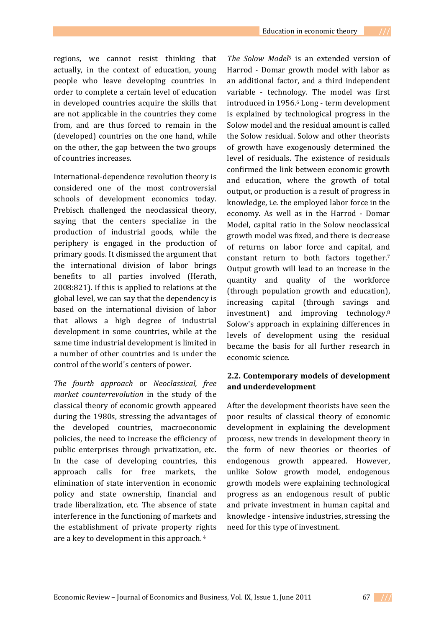regions, we cannot resist thinking that actually, in the context of education, young people who leave developing countries in order to complete a certain level of education in developed countries acquire the skills that are not applicable in the countries they come from, and are thus forced to remain in the (developed) countries on the one hand, while on the other, the gap between the two groups of countries increases.

International‐dependence revolution theory is considered one of the most controversial schools of development economics today. Prebisch challenged the neoclassical theory, saying that the centers specialize in the production of industrial goods, while the periphery is engaged in the production of primary goods. It dismissed the argument that the international division of labor brings benefits to all parties involved (Herath, 2008:821). If this is applied to relations at the global level, we can say that the dependency is based on the international division of labor that allows a high degree of industrial development in some countries, while at the same time industrial development is limited in a number of other countries and is under the control of the world's centers of power.

*The fourth approach* or *Neoclassical, free market counterrevolution* in the study of the classical theory of economic growth appeared during the 1980s, stressing the advantages of the developed countries, macroeconomic policies, the need to increase the efficiency of public enterprises through privatization, etc. In the case of developing countries, this approach calls for free markets, the elimination of state intervention in economic policy and state ownership, financial and trade liberalization, etc. The absence of state interference in the functioning of markets and the establishment of private property rights are a key to development in this approach. 4

*The Solow Model*5 is an extended version of Harrod - Domar growth model with labor as an additional factor, and a third independent variable - technology. The model was first introduced in 1956.6 Long ‐ term development is explained by technological progress in the Solow model and the residual amount is called the Solow residual. Solow and other theorists of growth have exogenously determined the level of residuals. The existence of residuals confirmed the link between economic growth and education, where the growth of total output, or production is a result of progress in knowledge, i.e. the employed labor force in the economy. As well as in the Harrod ‐ Domar Model, capital ratio in the Solow neoclassical growth model was fixed, and there is decrease of returns on labor force and capital, and constant return to both factors together.7 Output growth will lead to an increase in the quantity and quality of the workforce (through population growth and education), increasing capital (through savings and investment) and improving technology.8 Solow's approach in explaining differences in levels of development using the residual became the basis for all further research in economic science.

## **2.2. Contemporary models of development and underdevelopment**

After the development theorists have seen the poor results of classical theory of economic development in explaining the development process, new trends in development theory in the form of new theories or theories of endogenous growth appeared. However, unlike Solow growth model, endogenous growth models were explaining technological progress as an endogenous result of public and private investment in human capital and knowledge ‐ intensive industries, stressing the need for this type of investment.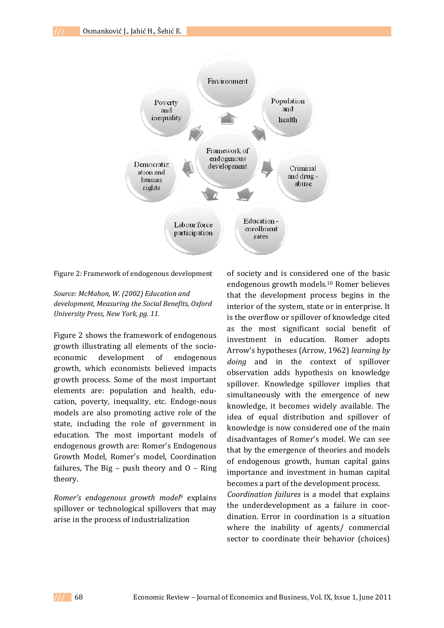

Figure 2: Framework of endogenous development

*Source: McMahon, W. (2002) Education and development, Measuring the Social Benefits, Oxford University Press, New York, pg. 11.*

Figure 2 shows the framework of endogenous growth illustrating all elements of the socio‐ economic development of endogenous growth, which economists believed impacts growth process. Some of the most important elements are: population and health, edu‐ cation, poverty, inequality, etc. Endoge‐nous models are also promoting active role of the state, including the role of government in education. The most important models of endogenous growth are: Romer's Endogenous Growth Model, Romer's model, Coordination failures, The Big  $-$  push theory and  $0 -$  Ring theory.

*Romer's endogenous growth model*9 explains spillover or technological spillovers that may arise in the process of industrialization

of society and is considered one of the basic endogenous growth models.10 Romer believes that the development process begins in the interior of the system, state or in enterprise. It is the overflow or spillover of knowledge cited as the most significant social benefit of investment in education. Romer adopts Arrow's hypotheses (Arrow, 1962) *learning by doing* and in the context of spillover observation adds hypothesis on knowledge spillover. Knowledge spillover implies that simultaneously with the emergence of new knowledge, it becomes widely available. The idea of equal distribution and spillover of knowledge is now considered one of the main disadvantages of Romer's model. We can see that by the emergence of theories and models of endogenous growth, human capital gains importance and investment in human capital becomes a part of the development process.

*Coordination failures* is a model that explains the underdevelopment as a failure in coordination. Error in coordination is a situation where the inability of agents/ commercial sector to coordinate their behavior (choices)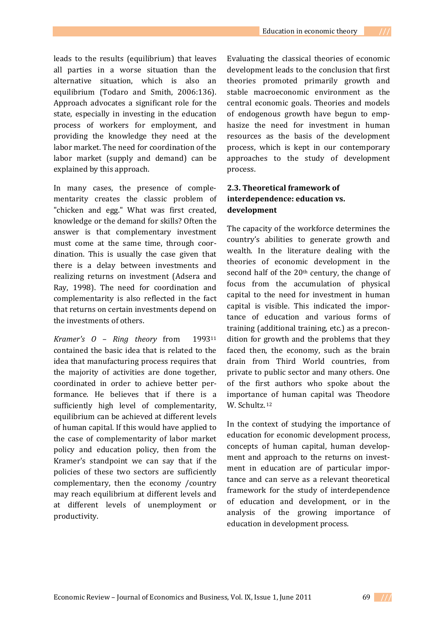leads to the results (equilibrium) that leaves all parties in a worse situation than the alternative situation, which is also an equilibrium (Todaro and Smith, 2006:136). Approach advocates a significant role for the state, especially in investing in the education process of workers for employment, and providing the knowledge they need at the labor market. The need for coordination of the labor market (supply and demand) can be

In many cases, the presence of comple‐ mentarity creates the classic problem of "chicken and egg." What was first created, knowledge or the demand for skills? Often the answer is that complementary investment must come at the same time, through coordination. This is usually the case given that there is a delay between investments and realizing returns on investment (Adsera and Ray, 1998). The need for coordination and complementarity is also reflected in the fact that returns on certain investments depend on the investments of others.

explained by this approach.

*Kramer's O – Ring theory* from 199311 contained the basic idea that is related to the idea that manufacturing process requires that the majority of activities are done together, coordinated in order to achieve better per‐ formance. He believes that if there is a sufficiently high level of complementarity, equilibrium can be achieved at different levels of human capital. If this would have applied to the case of complementarity of labor market policy and education policy, then from the Kramer's standpoint we can say that if the policies of these two sectors are sufficiently complementary, then the economy /country may reach equilibrium at different levels and at different levels of unemployment or productivity.

Evaluating the classical theories of economic development leads to the conclusion that first theories promoted primarily growth and stable macroeconomic environment as the central economic goals. Theories and models of endogenous growth have begun to emp‐ hasize the need for investment in human resources as the basis of the development process, which is kept in our contemporary approaches to the study of development process.

# **2.3. Theoretical framework of interdependence: education vs. development**

The capacity of the workforce determines the country's abilities to generate growth and wealth. In the literature dealing with the theories of economic development in the second half of the 20<sup>th</sup> century, the change of focus from the accumulation of physical capital to the need for investment in human capital is visible. This indicated the impor‐ tance of education and various forms of training (additional training, etc.) as a precon‐ dition for growth and the problems that they faced then, the economy, such as the brain drain from Third World countries, from private to public sector and many others. One of the first authors who spoke about the importance of human capital was Theodore W. Schultz.<sup>12</sup>

In the context of studying the importance of education for economic development process, concepts of human capital, human develop‐ ment and approach to the returns on investment in education are of particular importance and can serve as a relevant theoretical framework for the study of interdependence of education and development, or in the analysis of the growing importance of education in development process.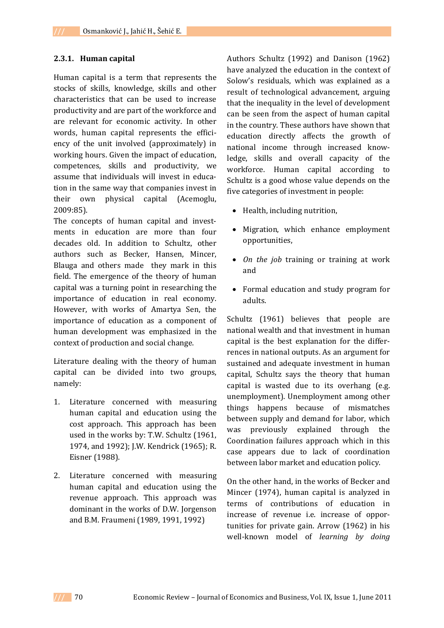### **2.3.1. Human capital**

Human capital is a term that represents the stocks of skills, knowledge, skills and other characteristics that can be used to increase productivity and are part of the workforce and are relevant for economic activity. In other words, human capital represents the efficiency of the unit involved (approximately) in working hours. Given the impact of education, competences, skills and productivity, we assume that individuals will invest in educa‐ tion in the same way that companies invest in their own physical capital (Acemoglu, 2009:85).

The concepts of human capital and investments in education are more than four decades old. In addition to Schultz, other authors such as Becker, Hansen, Mincer, Blauga and others made they mark in this field. The emergence of the theory of human capital was a turning point in researching the importance of education in real economy. However, with works of Amartya Sen, the importance of education as a component of human development was emphasized in the context of production and social change.

Literature dealing with the theory of human capital can be divided into two groups, namely:

- 1. Literature concerned with measuring human capital and education using the cost approach. This approach has been used in the works by: T.W. Schultz (1961, 1974, and 1992); J.W. Kendrick (1965); R. Eisner (1988).
- 2. Literature concerned with measuring human capital and education using the revenue approach. This approach was dominant in the works of D.W. Jorgenson and B.M. Fraumeni (1989, 1991, 1992)

Authors Schultz (1992) and Danison (1962) have analyzed the education in the context of Solow's residuals, which was explained as a result of technological advancement, arguing that the inequality in the level of development can be seen from the aspect of human capital in the country. These authors have shown that education directly affects the growth of national income through increased know‐ ledge, skills and overall capacity of the workforce. Human capital according to Schultz is a good whose value depends on the five categories of investment in people:

- Health, including nutrition,
- Migration, which enhance employment opportunities,
- *On the job* training or training at work and
- Formal education and study program for adults.

Schultz (1961) believes that people are national wealth and that investment in human capital is the best explanation for the differ‐ rences in national outputs. As an argument for sustained and adequate investment in human capital, Schultz says the theory that human capital is wasted due to its overhang (e.g. unemployment). Unemployment among other things happens because of mismatches between supply and demand for labor, which was previously explained through the Coordination failures approach which in this case appears due to lack of coordination between labor market and education policy.

On the other hand, in the works of Becker and Mincer (1974), human capital is analyzed in terms of contributions of education in increase of revenue i.e. increase of oppor‐ tunities for private gain. Arrow (1962) in his well‐known model of *learning by doing*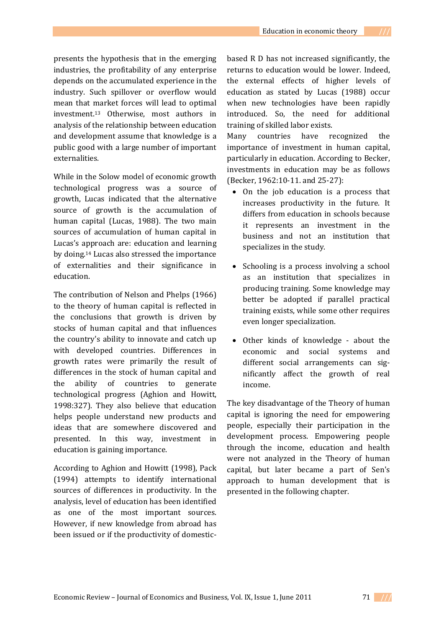presents the hypothesis that in the emerging industries, the profitability of any enterprise depends on the accumulated experience in the industry. Such spillover or overflow would mean that market forces will lead to optimal investment.13 Otherwise, most authors in analysis of the relationship between education and development assume that knowledge is a public good with a large number of important externalities.

While in the Solow model of economic growth technological progress was a source of growth, Lucas indicated that the alternative source of growth is the accumulation of human capital (Lucas, 1988). The two main sources of accumulation of human capital in Lucas's approach are: education and learning by doing.14 Lucas also stressed the importance of externalities and their significance in education.

The contribution of Nelson and Phelps (1966) to the theory of human capital is reflected in the conclusions that growth is driven by stocks of human capital and that influences the country's ability to innovate and catch up with developed countries. Differences in growth rates were primarily the result of differences in the stock of human capital and the ability of countries to generate technological progress (Aghion and Howitt, 1998:327). They also believe that education helps people understand new products and ideas that are somewhere discovered and presented. In this way, investment in education is gaining importance.

According to Aghion and Howitt (1998), Pack (1994) attempts to identify international sources of differences in productivity. In the analysis, level of education has been identified as one of the most important sources. However, if new knowledge from abroad has been issued or if the productivity of domestic‐

based R D has not increased significantly, the returns to education would be lower. Indeed, the external effects of higher levels of education as stated by Lucas (1988) occur when new technologies have been rapidly introduced. So, the need for additional training of skilled labor exists.

Many countries have recognized the importance of investment in human capital, particularly in education. According to Becker, investments in education may be as follows (Becker, 1962:10‐11. and 25‐27):

- On the job education is a process that increases productivity in the future. It differs from education in schools because it represents an investment in the business and not an institution that specializes in the study.
- Schooling is a process involving a school as an institution that specializes in producing training. Some knowledge may better be adopted if parallel practical training exists, while some other requires even longer specialization.
- Other kinds of knowledge about the economic and social systems and different social arrangements can significantly affect the growth of real income.

The key disadvantage of the Theory of human capital is ignoring the need for empowering people, especially their participation in the development process. Empowering people through the income, education and health were not analyzed in the Theory of human capital, but later became a part of Sen's approach to human development that is presented in the following chapter.

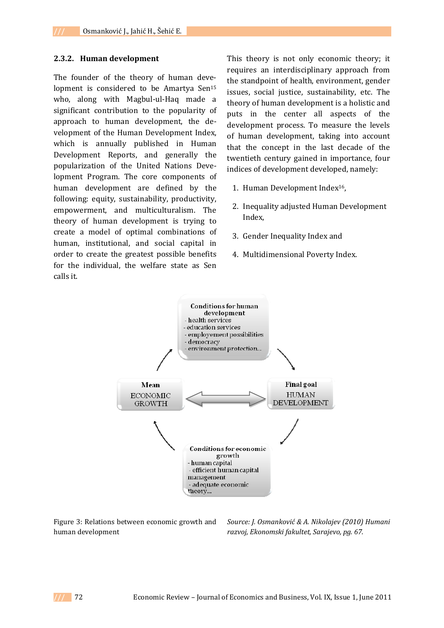### **2.3.2. Human development**

The founder of the theory of human development is considered to be Amartya Sen<sup>15</sup> who, along with Magbul-ul-Haq made a significant contribution to the popularity of approach to human development, the de‐ velopment of the Human Development Index, which is annually published in Human Development Reports, and generally the popularization of the United Nations Deve‐ lopment Program. The core components of human development are defined by the following: equity, sustainability, productivity, empowerment, and multiculturalism. The theory of human development is trying to create a model of optimal combinations of human, institutional, and social capital in order to create the greatest possible benefits for the individual, the welfare state as Sen calls it.

This theory is not only economic theory; it requires an interdisciplinary approach from the standpoint of health, environment, gender issues, social justice, sustainability, etc. The theory of human development is a holistic and puts in the center all aspects of the development process. To measure the levels of human development, taking into account that the concept in the last decade of the twentieth century gained in importance, four indices of development developed, namely:

- 1. Human Development Index16,
- 2. Inequality adjusted Human Development Index,
- 3. Gender Inequality Index and
- 4. Multidimensional Poverty Index.



Figure 3: Relations between economic growth and human development

*Source: J. Osmanković & A. Nikolajev (2010) Humani razvoj, Ekonomski fakultet, Sarajevo, pg. 67.*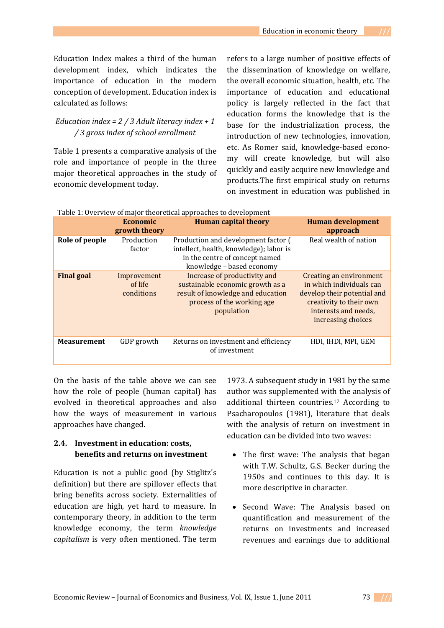Education Index makes a third of the human development index, which indicates the importance of education in the modern conception of development. Education index is calculated as follows:

## *Education index = 2 / 3 Adult literacy index + 1 / 3 gross index of school enrollment*

Table 1 presents a comparative analysis of the role and importance of people in the three major theoretical approaches in the study of economic development today.

refers to a large number of positive effects of the dissemination of knowledge on welfare, the overall economic situation, health, etc. The importance of education and educational policy is largely reflected in the fact that education forms the knowledge that is the base for the industrialization process, the introduction of new technologies, innovation, etc. As Romer said, knowledge‐based econo‐ my will create knowledge, but will also quickly and easily acquire new knowledge and products.The first empirical study on returns on investment in education was published in

|                    | <b>Economic</b><br>growth theory     | <b>Human capital theory</b>                                                                                                                       | <b>Human development</b><br>approach                                                                                                                        |
|--------------------|--------------------------------------|---------------------------------------------------------------------------------------------------------------------------------------------------|-------------------------------------------------------------------------------------------------------------------------------------------------------------|
| Role of people     | Production<br>factor                 | Production and development factor (<br>intellect, health, knowledge); labor is<br>in the centre of concept named<br>knowledge - based economy     | Real wealth of nation                                                                                                                                       |
| <b>Final goal</b>  | Improvement<br>of life<br>conditions | Increase of productivity and<br>sustainable economic growth as a<br>result of knowledge and education<br>process of the working age<br>population | Creating an environment<br>in which individuals can<br>develop their potential and<br>creativity to their own<br>interests and needs,<br>increasing choices |
| <b>Measurement</b> | GDP growth                           | Returns on investment and efficiency<br>of investment                                                                                             | HDI, IHDI, MPI, GEM                                                                                                                                         |

Table 1: Overview of major theoretical approaches to development

On the basis of the table above we can see how the role of people (human capital) has evolved in theoretical approaches and also how the ways of measurement in various approaches have changed.

## **2.4. Investment in education: costs, benefits and returns on investment**

Education is not a public good (by Stiglitz's definition) but there are spillover effects that bring benefits across society. Externalities of education are high, yet hard to measure. In contemporary theory, in addition to the term knowledge economy, the term *knowledge capitalism* is very often mentioned. The term

1973. A subsequent study in 1981 by the same author was supplemented with the analysis of additional thirteen countries.17 According to Psacharopoulos (1981), literature that deals with the analysis of return on investment in education can be divided into two waves:

- The first wave: The analysis that began with T.W. Schultz, G.S. Becker during the 1950s and continues to this day. It is more descriptive in character.
- Second Wave: The Analysis based on quantification and measurement of the returns on investments and increased revenues and earnings due to additional

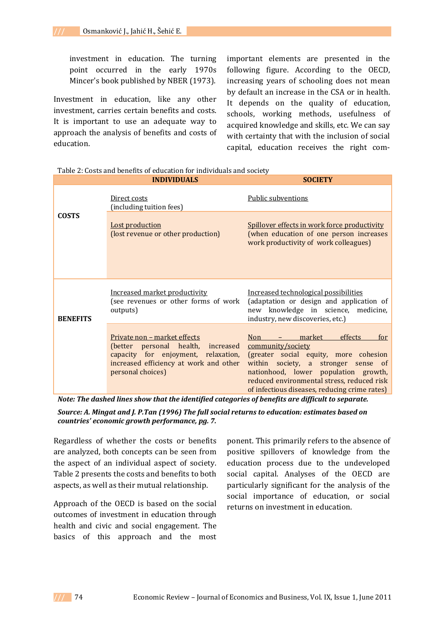investment in education. The turning point occurred in the early 1970s Mincer's book published by NBER (1973).

Investment in education, like any other investment, carries certain benefits and costs. It is important to use an adequate way to approach the analysis of benefits and costs of education.

important elements are presented in the following figure. According to the OECD, increasing years of schooling does not mean by default an increase in the CSA or in health. It depends on the quality of education, schools, working methods, usefulness of acquired knowledge and skills, etc. We can say with certainty that with the inclusion of social capital, education receives the right com‐

|                 | <b>INDIVIDUALS</b>                                                                                                                                                              | <b>SOCIETY</b>                                                                                                                                                                                                                                                              |  |
|-----------------|---------------------------------------------------------------------------------------------------------------------------------------------------------------------------------|-----------------------------------------------------------------------------------------------------------------------------------------------------------------------------------------------------------------------------------------------------------------------------|--|
|                 | Direct costs<br>(including tuition fees)                                                                                                                                        | Public subventions                                                                                                                                                                                                                                                          |  |
| <b>COSTS</b>    | <b>Lost production</b><br>(lost revenue or other production)                                                                                                                    | Spillover effects in work force productivity<br>(when education of one person increases<br>work productivity of work colleagues)                                                                                                                                            |  |
| <b>BENEFITS</b> | Increased market productivity<br>(see revenues or other forms of work<br>outputs)                                                                                               | Increased technological possibilities<br>(adaptation or design and application of<br>new knowledge in science, medicine,<br>industry, new discoveries, etc.)                                                                                                                |  |
|                 | <u>Private non – market effects</u><br>(better personal health, increased<br>capacity for enjoyment, relaxation,<br>increased efficiency at work and other<br>personal choices) | market<br>Non<br>effects<br>for<br>community/society<br>(greater social equity, more cohesion<br>within society, a stronger sense of<br>nationhood, lower population growth,<br>reduced environmental stress, reduced risk<br>of infectious diseases, reducing crime rates) |  |

Table 2: Costs and benefits of education for individuals and society

*Note: The dashed lines show that the identified categories of benefits are difficult to separate.*

*Source: A. Mingat and J. P.Tan (1996) The full social returns to education: estimates based on countries' economic growth performance, pg. 7.*

Regardless of whether the costs or benefits are analyzed, both concepts can be seen from the aspect of an individual aspect of society. Table 2 presents the costs and benefits to both aspects, as well as their mutual relationship.

Approach of the OECD is based on the social outcomes of investment in education through health and civic and social engagement. The basics of this approach and the most

ponent. This primarily refers to the absence of positive spillovers of knowledge from the education process due to the undeveloped social capital. Analyses of the OECD are particularly significant for the analysis of the social importance of education, or social returns on investment in education.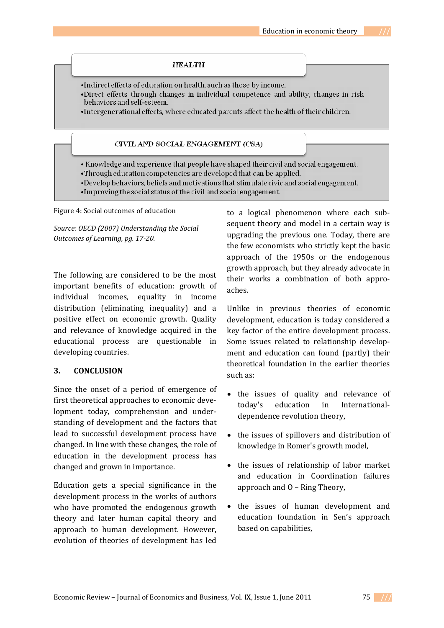#### **HEALTH**

- •Indirect effects of education on health, such as those by income.
- •Direct effects through changes in individual competence and ability, changes in risk behaviors and self-esteem.
- •Intergenerational effects, where educated parents affect the health of their children.

#### CIVIL AND SOCIAL ENGAGEMENT (CSA)

- Knowledge and experience that people have shaped their civil and social engagement.
- •Through education competencies are developed that can be applied.
- •Develop behaviors, beliefs and motivations that stimulate civic and social engagement.
- •Improving the social status of the civil and social engagement.

Figure 4: Social outcomes of education

*Source: OECD (2007) Understanding the Social Outcomes of Learning, pg. 1720.*

The following are considered to be the most important benefits of education: growth of individual incomes, equality in income distribution (eliminating inequality) and a positive effect on economic growth. Quality and relevance of knowledge acquired in the educational process are questionable in developing countries.

## **3. CONCLUSION**

Since the onset of a period of emergence of first theoretical approaches to economic deve‐ lopment today, comprehension and under‐ standing of development and the factors that lead to successful development process have changed. In line with these changes, the role of education in the development process has changed and grown in importance.

Education gets a special significance in the development process in the works of authors who have promoted the endogenous growth theory and later human capital theory and approach to human development. However, evolution of theories of development has led to a logical phenomenon where each sub‐ sequent theory and model in a certain way is upgrading the previous one. Today, there are the few economists who strictly kept the basic approach of the 1950s or the endogenous growth approach, but they already advocate in their works a combination of both appro‐ aches.

Unlike in previous theories of economic development, education is today considered a key factor of the entire development process. Some issues related to relationship development and education can found (partly) their theoretical foundation in the earlier theories such as:

- the issues of quality and relevance of today's education in International‐ dependence revolution theory,
- the issues of spillovers and distribution of knowledge in Romer's growth model,
- the issues of relationship of labor market and education in Coordination failures approach and O – Ring Theory,
- the issues of human development and education foundation in Sen's approach based on capabilities,

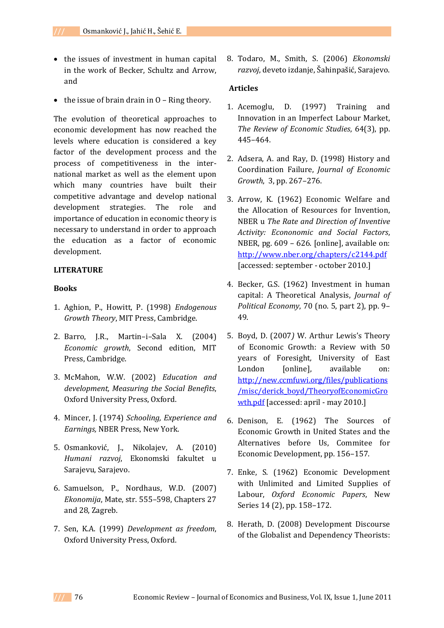- the issues of investment in human capital in the work of Becker, Schultz and Arrow, and
- the issue of brain drain in  $0$  Ring theory.

The evolution of theoretical approaches to economic development has now reached the levels where education is considered a key factor of the development process and the process of competitiveness in the inter‐ national market as well as the element upon which many countries have built their competitive advantage and develop national development strategies. The role and importance of education in economic theory is necessary to understand in order to approach the education as a factor of economic development.

## **LITERATURE**

### **Books**

- 1. Aghion, P., Howitt, P. (1998) *Endogenous Growth Theory*, MIT Press, Cambridge.
- 2. Barro, J.R., Martin–i–Sala X. (2004) *Economic growth*, Second edition, MIT Press, Cambridge.
- 3. McMahon, W.W. (2002) *Education and development, Measuring the Social Benefits*, Oxford University Press, Oxford.
- 4. Mincer, J. (1974) *Schooling, Experience and Earnings,* NBER Press, New York.
- 5. Osmanković, J., Nikolajev, A. (2010) *Humani razvoj*, Ekonomski fakultet u Sarajevu, Sarajevo.
- 6. Samuelson, P., Nordhaus, W.D. (2007) *Ekonomija*, Mate, str. 555–598, Chapters 27 and 28, Zagreb.
- 7. Sen, K.A. (1999) *Development as freedom*, Oxford University Press, Oxford.

8. Todaro, M., Smith, S. (2006) *Ekonomski razvoj*, deveto izdanje, Šahinpašić, Sarajevo.

### **Articles**

- 1. Acemoglu, D. (1997) Training and Innovation in an Imperfect Labour Market, *The Review of Economic Studies*, 64(3), pp. 445–464.
- 2. Adsera, A. and Ray, D. (1998) History and Coordination Failure, *Journal of Economic Growth*, 3, pp. 267–276.
- 3. Arrow, K. (1962) Economic Welfare and the Allocation of Resources for Invention, NBER u *The Rate and Direction of Inventive Activity: Econonomic and Social Factors*, NBER, pg. 609 – 626. [online], available on: http://www.nber.org/chapters/c2144.pdf [accessed: september ‐ october 2010.]
- 4. Becker, G.S. (1962) Investment in human capital: A Theoretical Analysis, *Journal of Political Economy*, 70 (no. 5, part 2), pp. 9– 49.
- 5. Boyd, D. (2007*)* W. Arthur Lewis's Theory of Economic Growth: a Review with 50 years of Foresight*,* University of East London [online], available on: http://new.ccmfuwi.org/files/publications /misc/derick\_boyd/TheoryofEconomicGro wth.pdf [accessed: april - may 2010.]
- 6. Denison, E. (1962) The Sources of Economic Growth in United States and the Alternatives before Us, Commitee for Economic Development, pp. 156–157.
- 7. Enke, S. (1962) Economic Development with Unlimited and Limited Supplies of Labour, *Oxford Economic Papers*, New Series 14 (2), pp. 158–172.
- 8. Herath, D. (2008) Development Discourse of the Globalist and Dependency Theorists: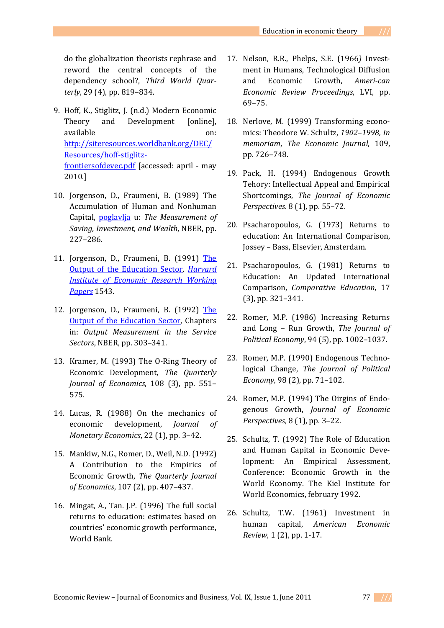do the globalization theorists rephrase and reword the central concepts of the dependency school?, *Third World Quarterly*, 29 (4), pp. 819–834.

- 9. Hoff, K., Stiglitz, J. (n.d.) Modern Economic Theory and Development [online], available on: http://siteresources.worldbank.org/DEC/ Resources/hoff‐stiglitz‐ frontiersofdevec.pdf [accessed: april ‐ may 2010.]
- 10. Jorgenson, D., Fraumeni, B. (1989) The Accumulation of Human and Nonhuman Capital, poglavlja u: *The Measurement of Saving, Investment, and Wealth*, NBER, pp. 227–286.
- 11. Jorgenson, D., Fraumeni, B. (1991) The Output of the Education Sector, *Harvard Institute of Economic Research Working Papers* 1543.
- 12. Jorgenson, D., Fraumeni, B. (1992) The Output of the Education Sector, Chapters in: *Output Measurement in the Service Sectors*, NBER, pp. 303–341.
- 13. Kramer, M. (1993) The O‐Ring Theory of Economic Development, *The Quarterly Journal of Economics*, 108 (3), pp. 551– 575.
- 14. Lucas, R. (1988) On the mechanics of economic development, *Journal of Monetary Economics*, 22 (1), pp. 3–42.
- 15. Mankiw, N.G., Romer, D., Weil, N.D. (1992) A Contribution to the Empirics of Economic Growth, *The Quarterly Journal of Economics*, 107 (2), pp. 407–437.
- 16. Mingat, A., Tan. J.P. (1996) The full social returns to education: estimates based on countries' economic growth performance, World Bank.
- 17. Nelson, R.R., Phelps, S.E. (1966*)* Invest‐ ment in Humans, Technological Diffusion and Economic Growth, *American Economic Review Proceedings*, LVI, pp. 69–75.
- 18. Nerlove, M. (1999) Transforming economics: Theodore W. Schultz, *1902–1998, In memoriam*, *The Economic Journal*, 109, pp. 726–748.
- 19. Pack, H. (1994) Endogenous Growth Tehory: Intellectual Appeal and Empirical Shortcomings, *The Journal of Economic Perspectives*. 8 (1), pp. 55–72.
- 20. Psacharopoulos, G. (1973) Returns to education: An International Comparison, Jossey – Bass, Elsevier, Amsterdam.
- 21. Psacharopoulos, G. (1981) Returns to Education: An Updated International Comparison, *Comparative Education*, 17 (3), pp. 321–341.
- 22. Romer, M.P. (1986) Increasing Returns and Long – Run Growth, *The Journal of Political Economy*, 94 (5), pp. 1002–1037.
- 23. Romer, M.P. (1990) Endogenous Techno‐ logical Change, *The Journal of Political Economy,* 98 (2), pp. 71–102.
- 24. Romer, M.P. (1994) The Oirgins of Endo‐ genous Growth, *Journal of Economic Perspectives*, 8 (1), pp. 3–22.
- 25. Schultz, T. (1992) The Role of Education and Human Capital in Economic Deve‐ lopment: An Empirical Assessment, Conference: Economic Growth in the World Economy. The Kiel Institute for World Economics, february 1992.
- 26. Schultz, T.W. (1961) Investment in human capital, *American Economic Review*, 1 (2), pp. 1‐17.